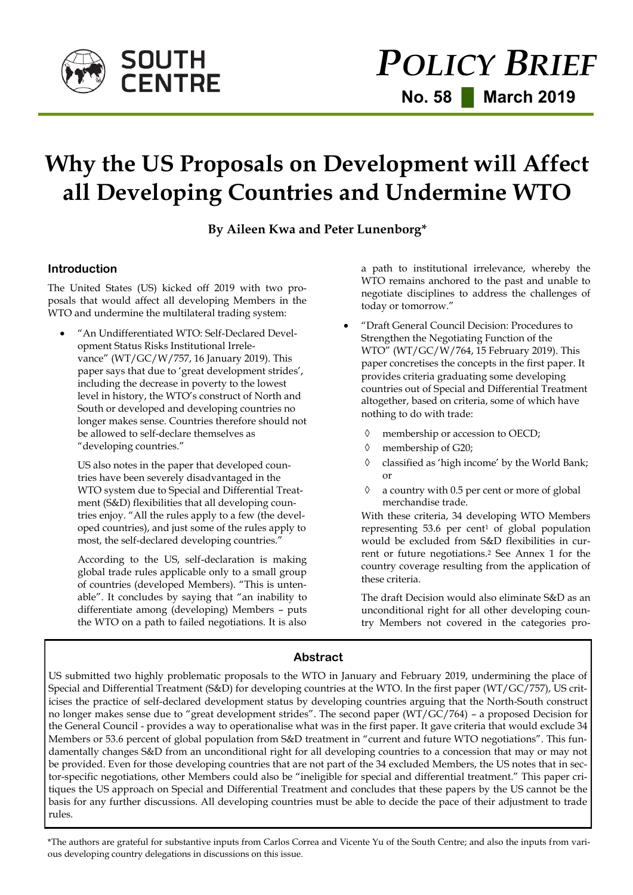

# **Why the US Proposals on Development will Affect all Developing Countries and Undermine WTO**

**By Aileen Kwa and Peter Lunenborg\*** 

## **Introduction**

The United States (US) kicked off 2019 with two proposals that would affect all developing Members in the WTO and undermine the multilateral trading system:

 "An Undifferentiated WTO: Self-Declared Development Status Risks Institutional Irrelevance" (WT/GC/W/757, 16 January 2019). This paper says that due to 'great development strides', including the decrease in poverty to the lowest level in history, the WTO's construct of North and South or developed and developing countries no longer makes sense. Countries therefore should not be allowed to self-declare themselves as "developing countries."

US also notes in the paper that developed countries have been severely disadvantaged in the WTO system due to Special and Differential Treatment (S&D) flexibilities that all developing countries enjoy. "All the rules apply to a few (the developed countries), and just some of the rules apply to most, the self-declared developing countries."

According to the US, self-declaration is making global trade rules applicable only to a small group of countries (developed Members). "This is untenable". It concludes by saying that "an inability to differentiate among (developing) Members – puts the WTO on a path to failed negotiations. It is also a path to institutional irrelevance, whereby the WTO remains anchored to the past and unable to negotiate disciplines to address the challenges of today or tomorrow."

- "Draft General Council Decision: Procedures to Strengthen the Negotiating Function of the WTO" (WT/GC/W/764, 15 February 2019). This paper concretises the concepts in the first paper. It provides criteria graduating some developing countries out of Special and Differential Treatment altogether, based on criteria, some of which have nothing to do with trade:
	- membership or accession to OECD;
	- $\Diamond$  membership of G20;
	- classified as 'high income' by the World Bank; or
	- $\Diamond$  a country with 0.5 per cent or more of global merchandise trade.

With these criteria, 34 developing WTO Members representing 53.6 per cent<sup>1</sup> of global population would be excluded from S&D flexibilities in current or future negotiations.<sup>2</sup> See Annex 1 for the country coverage resulting from the application of these criteria.

The draft Decision would also eliminate S&D as an unconditional right for all other developing country Members not covered in the categories pro-

# **Abstract**

US submitted two highly problematic proposals to the WTO in January and February 2019, undermining the place of Special and Differential Treatment (S&D) for developing countries at the WTO. In the first paper (WT/GC/757), US criticises the practice of self-declared development status by developing countries arguing that the North-South construct no longer makes sense due to "great development strides". The second paper (WT/GC/764) – a proposed Decision for the General Council - provides a way to operationalise what was in the first paper. It gave criteria that would exclude 34 Members or 53.6 percent of global population from S&D treatment in "current and future WTO negotiations". This fundamentally changes S&D from an unconditional right for all developing countries to a concession that may or may not be provided. Even for those developing countries that are not part of the 34 excluded Members, the US notes that in sector-specific negotiations, other Members could also be "ineligible for special and differential treatment." This paper critiques the US approach on Special and Differential Treatment and concludes that these papers by the US cannot be the basis for any further discussions. All developing countries must be able to decide the pace of their adjustment to trade rules.

\*The authors are grateful for substantive inputs from Carlos Correa and Vicente Yu of the South Centre; and also the inputs from various developing country delegations in discussions on this issue.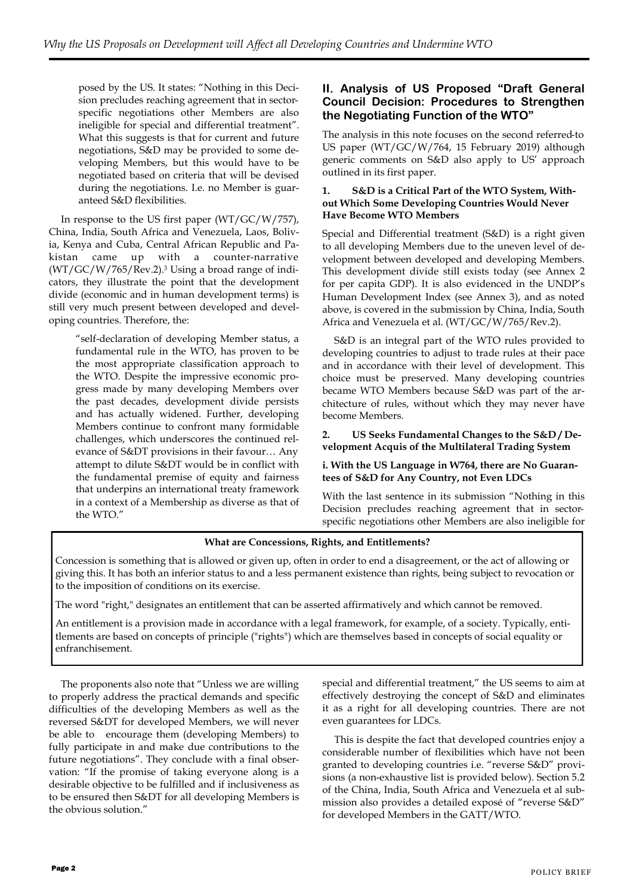posed by the US. It states: "Nothing in this Decision precludes reaching agreement that in sectorspecific negotiations other Members are also ineligible for special and differential treatment". What this suggests is that for current and future negotiations, S&D may be provided to some developing Members, but this would have to be negotiated based on criteria that will be devised during the negotiations. I.e. no Member is guaranteed S&D flexibilities.

In response to the US first paper (WT/GC/W/757), China, India, South Africa and Venezuela, Laos, Bolivia, Kenya and Cuba, Central African Republic and Pakistan came up with a counter-narrative (WT/GC/W/765/Rev.2).<sup>3</sup> Using a broad range of indicators, they illustrate the point that the development divide (economic and in human development terms) is still very much present between developed and developing countries. Therefore, the:

> "self-declaration of developing Member status, a fundamental rule in the WTO, has proven to be the most appropriate classification approach to the WTO. Despite the impressive economic progress made by many developing Members over the past decades, development divide persists and has actually widened. Further, developing Members continue to confront many formidable challenges, which underscores the continued relevance of S&DT provisions in their favour… Any attempt to dilute S&DT would be in conflict with the fundamental premise of equity and fairness that underpins an international treaty framework in a context of a Membership as diverse as that of the WTO."

## **II. Analysis of US Proposed "Draft General Council Decision: Procedures to Strengthen the Negotiating Function of the WTO"**

The analysis in this note focuses on the second referred-to US paper (WT/GC/W/764, 15 February 2019) although generic comments on S&D also apply to US' approach outlined in its first paper.

#### **1. S&D is a Critical Part of the WTO System, Without Which Some Developing Countries Would Never Have Become WTO Members**

Special and Differential treatment (S&D) is a right given to all developing Members due to the uneven level of development between developed and developing Members. This development divide still exists today (see Annex 2 for per capita GDP). It is also evidenced in the UNDP's Human Development Index (see Annex 3), and as noted above, is covered in the submission by China, India, South Africa and Venezuela et al. (WT/GC/W/765/Rev.2).

S&D is an integral part of the WTO rules provided to developing countries to adjust to trade rules at their pace and in accordance with their level of development. This choice must be preserved. Many developing countries became WTO Members because S&D was part of the architecture of rules, without which they may never have become Members.

## **2. US Seeks Fundamental Changes to the S&D / Development Acquis of the Multilateral Trading System**

## **i. With the US Language in W764, there are No Guarantees of S&D for Any Country, not Even LDCs**

With the last sentence in its submission "Nothing in this Decision precludes reaching agreement that in sectorspecific negotiations other Members are also ineligible for

## **What are Concessions, Rights, and Entitlements?**

Concession is something that is allowed or given up, often in order to end a disagreement, or the act of allowing or giving this. It has both an inferior status to and a less permanent existence than rights, being subject to revocation or to the imposition of conditions on its exercise.

The word "right," designates an entitlement that can be asserted affirmatively and which cannot be removed.

An entitlement is a provision made in accordance with a legal framework, for example, of a society. Typically, entitlements are based on concepts of principle ("rights") which are themselves based in concepts of social equality or enfranchisement.

The proponents also note that "Unless we are willing to properly address the practical demands and specific difficulties of the developing Members as well as the reversed S&DT for developed Members, we will never be able to encourage them (developing Members) to fully participate in and make due contributions to the future negotiations". They conclude with a final observation: "If the promise of taking everyone along is a desirable objective to be fulfilled and if inclusiveness as to be ensured then S&DT for all developing Members is the obvious solution."

special and differential treatment," the US seems to aim at effectively destroying the concept of S&D and eliminates it as a right for all developing countries. There are not even guarantees for LDCs.

This is despite the fact that developed countries enjoy a considerable number of flexibilities which have not been granted to developing countries i.e. "reverse S&D" provisions (a non-exhaustive list is provided below). Section 5.2 of the China, India, South Africa and Venezuela et al submission also provides a detailed exposé of "reverse S&D" for developed Members in the GATT/WTO.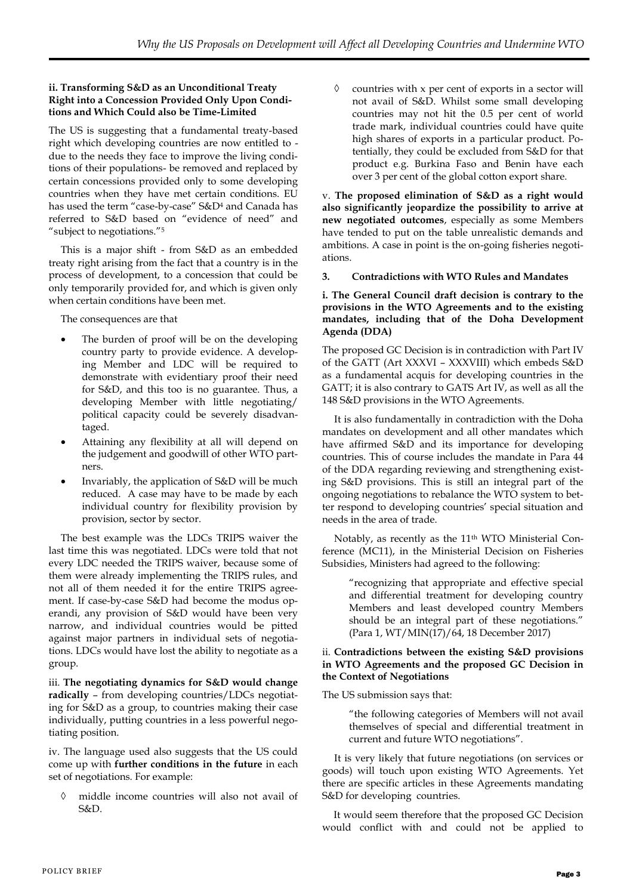## **ii. Transforming S&D as an Unconditional Treaty Right into a Concession Provided Only Upon Conditions and Which Could also be Time-Limited**

The US is suggesting that a fundamental treaty-based right which developing countries are now entitled to due to the needs they face to improve the living conditions of their populations- be removed and replaced by certain concessions provided only to some developing countries when they have met certain conditions. EU has used the term "case-by-case" S&D<sup>4</sup> and Canada has referred to S&D based on "evidence of need" and "subject to negotiations."<sup>5</sup>

This is a major shift - from S&D as an embedded treaty right arising from the fact that a country is in the process of development, to a concession that could be only temporarily provided for, and which is given only when certain conditions have been met.

The consequences are that

- The burden of proof will be on the developing country party to provide evidence. A developing Member and LDC will be required to demonstrate with evidentiary proof their need for S&D, and this too is no guarantee. Thus, a developing Member with little negotiating/ political capacity could be severely disadvantaged.
- Attaining any flexibility at all will depend on the judgement and goodwill of other WTO partners.
- Invariably, the application of S&D will be much reduced. A case may have to be made by each individual country for flexibility provision by provision, sector by sector.

The best example was the LDCs TRIPS waiver the last time this was negotiated. LDCs were told that not every LDC needed the TRIPS waiver, because some of them were already implementing the TRIPS rules, and not all of them needed it for the entire TRIPS agreement. If case-by-case S&D had become the modus operandi, any provision of S&D would have been very narrow, and individual countries would be pitted against major partners in individual sets of negotiations. LDCs would have lost the ability to negotiate as a group.

iii. **The negotiating dynamics for S&D would change radically** – from developing countries/LDCs negotiating for S&D as a group, to countries making their case individually, putting countries in a less powerful negotiating position.

iv. The language used also suggests that the US could come up with **further conditions in the future** in each set of negotiations. For example:

 middle income countries will also not avail of S&D.

 $\Diamond$  countries with x per cent of exports in a sector will not avail of S&D. Whilst some small developing countries may not hit the 0.5 per cent of world trade mark, individual countries could have quite high shares of exports in a particular product. Potentially, they could be excluded from S&D for that product e.g. Burkina Faso and Benin have each over 3 per cent of the global cotton export share.

v. **The proposed elimination of S&D as a right would also significantly jeopardize the possibility to arrive at new negotiated outcomes**, especially as some Members have tended to put on the table unrealistic demands and ambitions. A case in point is the on-going fisheries negotiations.

## **3. Contradictions with WTO Rules and Mandates**

## **i. The General Council draft decision is contrary to the provisions in the WTO Agreements and to the existing mandates, including that of the Doha Development Agenda (DDA)**

The proposed GC Decision is in contradiction with Part IV of the GATT (Art XXXVI – XXXVIII) which embeds S&D as a fundamental acquis for developing countries in the GATT; it is also contrary to GATS Art IV, as well as all the 148 S&D provisions in the WTO Agreements.

It is also fundamentally in contradiction with the Doha mandates on development and all other mandates which have affirmed S&D and its importance for developing countries. This of course includes the mandate in Para 44 of the DDA regarding reviewing and strengthening existing S&D provisions. This is still an integral part of the ongoing negotiations to rebalance the WTO system to better respond to developing countries' special situation and needs in the area of trade.

Notably, as recently as the 11th WTO Ministerial Conference (MC11), in the Ministerial Decision on Fisheries Subsidies, Ministers had agreed to the following:

> "recognizing that appropriate and effective special and differential treatment for developing country Members and least developed country Members should be an integral part of these negotiations." (Para 1, WT/MIN(17)/64, 18 December 2017)

#### ii. **Contradictions between the existing S&D provisions in WTO Agreements and the proposed GC Decision in the Context of Negotiations**

The US submission says that:

"the following categories of Members will not avail themselves of special and differential treatment in current and future WTO negotiations".

It is very likely that future negotiations (on services or goods) will touch upon existing WTO Agreements. Yet there are specific articles in these Agreements mandating S&D for developing countries.

It would seem therefore that the proposed GC Decision would conflict with and could not be applied to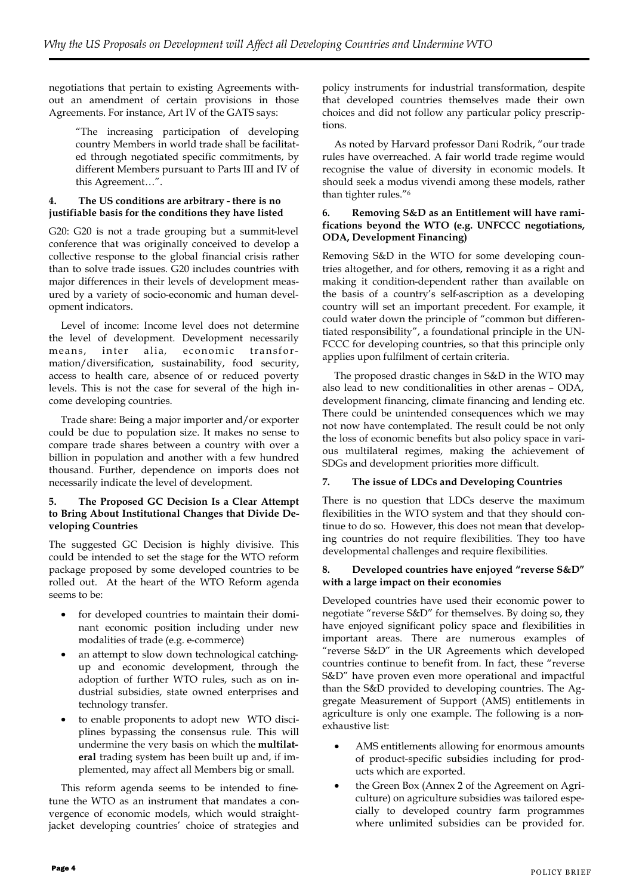negotiations that pertain to existing Agreements without an amendment of certain provisions in those Agreements. For instance, Art IV of the GATS says:

> "The increasing participation of developing country Members in world trade shall be facilitated through negotiated specific commitments, by different Members pursuant to Parts III and IV of this Agreement…".

#### **4. The US conditions are arbitrary - there is no justifiable basis for the conditions they have listed**

G20: G20 is not a trade grouping but a summit-level conference that was originally conceived to develop a collective response to the global financial crisis rather than to solve trade issues. G20 includes countries with major differences in their levels of development measured by a variety of socio-economic and human development indicators.

Level of income: Income level does not determine the level of development. Development necessarily means, inter alia, economic transformation/diversification, sustainability, food security, access to health care, absence of or reduced poverty levels. This is not the case for several of the high income developing countries.

Trade share: Being a major importer and/or exporter could be due to population size. It makes no sense to compare trade shares between a country with over a billion in population and another with a few hundred thousand. Further, dependence on imports does not necessarily indicate the level of development.

#### **5. The Proposed GC Decision Is a Clear Attempt to Bring About Institutional Changes that Divide Developing Countries**

The suggested GC Decision is highly divisive. This could be intended to set the stage for the WTO reform package proposed by some developed countries to be rolled out. At the heart of the WTO Reform agenda seems to be:

- for developed countries to maintain their dominant economic position including under new modalities of trade (e.g. e-commerce)
- an attempt to slow down technological catchingup and economic development, through the adoption of further WTO rules, such as on industrial subsidies, state owned enterprises and technology transfer.
- to enable proponents to adopt new WTO disciplines bypassing the consensus rule. This will undermine the very basis on which the **multilateral** trading system has been built up and, if implemented, may affect all Members big or small.

This reform agenda seems to be intended to finetune the WTO as an instrument that mandates a convergence of economic models, which would straightjacket developing countries' choice of strategies and policy instruments for industrial transformation, despite that developed countries themselves made their own choices and did not follow any particular policy prescriptions.

As noted by Harvard professor Dani Rodrik, "our trade rules have overreached. A fair world trade regime would recognise the value of diversity in economic models. It should seek a modus vivendi among these models, rather than tighter rules."<sup>6</sup>

#### **6. Removing S&D as an Entitlement will have ramifications beyond the WTO (e.g. UNFCCC negotiations, ODA, Development Financing)**

Removing S&D in the WTO for some developing countries altogether, and for others, removing it as a right and making it condition-dependent rather than available on the basis of a country's self-ascription as a developing country will set an important precedent. For example, it could water down the principle of "common but differentiated responsibility", a foundational principle in the UN-FCCC for developing countries, so that this principle only applies upon fulfilment of certain criteria.

The proposed drastic changes in S&D in the WTO may also lead to new conditionalities in other arenas – ODA, development financing, climate financing and lending etc. There could be unintended consequences which we may not now have contemplated. The result could be not only the loss of economic benefits but also policy space in various multilateral regimes, making the achievement of SDGs and development priorities more difficult.

#### **7. The issue of LDCs and Developing Countries**

There is no question that LDCs deserve the maximum flexibilities in the WTO system and that they should continue to do so. However, this does not mean that developing countries do not require flexibilities. They too have developmental challenges and require flexibilities.

#### **8. Developed countries have enjoyed "reverse S&D" with a large impact on their economies**

Developed countries have used their economic power to negotiate "reverse S&D" for themselves. By doing so, they have enjoyed significant policy space and flexibilities in important areas. There are numerous examples of "reverse S&D" in the UR Agreements which developed countries continue to benefit from. In fact, these "reverse S&D" have proven even more operational and impactful than the S&D provided to developing countries. The Aggregate Measurement of Support (AMS) entitlements in agriculture is only one example. The following is a nonexhaustive list:

- AMS entitlements allowing for enormous amounts of product-specific subsidies including for products which are exported.
- the Green Box (Annex 2 of the Agreement on Agriculture) on agriculture subsidies was tailored especially to developed country farm programmes where unlimited subsidies can be provided for.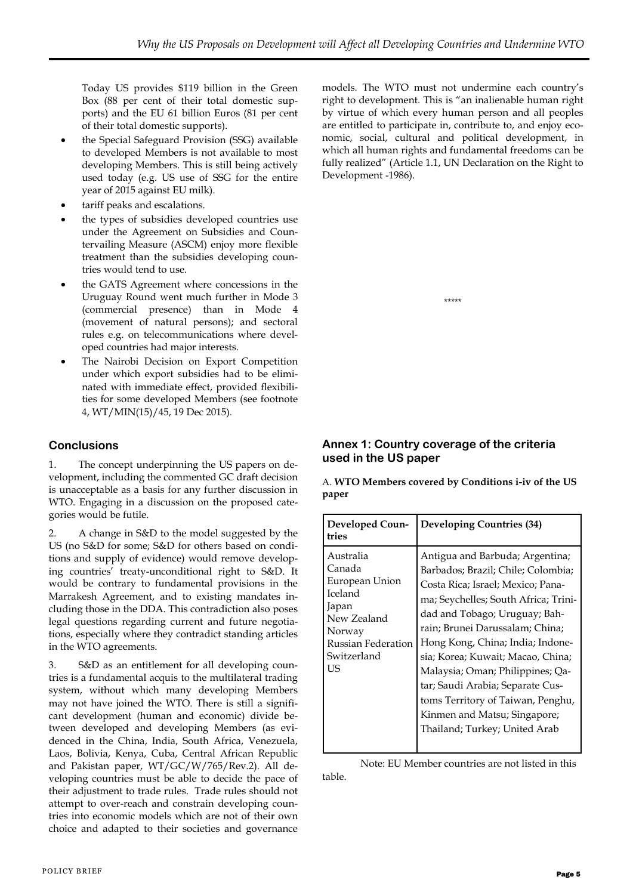Today US provides \$119 billion in the Green Box (88 per cent of their total domestic supports) and the EU 61 billion Euros (81 per cent of their total domestic supports).

- the Special Safeguard Provision (SSG) available to developed Members is not available to most developing Members. This is still being actively used today (e.g. US use of SSG for the entire year of 2015 against EU milk).
- tariff peaks and escalations.
- the types of subsidies developed countries use under the Agreement on Subsidies and Countervailing Measure (ASCM) enjoy more flexible treatment than the subsidies developing countries would tend to use.
- the GATS Agreement where concessions in the Uruguay Round went much further in Mode 3 (commercial presence) than in Mode 4 (movement of natural persons); and sectoral rules e.g. on telecommunications where developed countries had major interests.
- The Nairobi Decision on Export Competition under which export subsidies had to be eliminated with immediate effect, provided flexibilities for some developed Members (see footnote 4, WT/MIN(15)/45, 19 Dec 2015).

# **Conclusions**

1. The concept underpinning the US papers on development, including the commented GC draft decision is unacceptable as a basis for any further discussion in WTO. Engaging in a discussion on the proposed categories would be futile.

2. A change in S&D to the model suggested by the US (no S&D for some; S&D for others based on conditions and supply of evidence) would remove developing countries' treaty-unconditional right to S&D. It would be contrary to fundamental provisions in the Marrakesh Agreement, and to existing mandates including those in the DDA. This contradiction also poses legal questions regarding current and future negotiations, especially where they contradict standing articles in the WTO agreements.

3. S&D as an entitlement for all developing countries is a fundamental acquis to the multilateral trading system, without which many developing Members may not have joined the WTO. There is still a significant development (human and economic) divide between developed and developing Members (as evidenced in the China, India, South Africa, Venezuela, Laos, Bolivia, Kenya, Cuba, Central African Republic and Pakistan paper, WT/GC/W/765/Rev.2). All developing countries must be able to decide the pace of their adjustment to trade rules. Trade rules should not attempt to over-reach and constrain developing countries into economic models which are not of their own choice and adapted to their societies and governance

models. The WTO must not undermine each country's right to development. This is "an inalienable human right by virtue of which every human person and all peoples are entitled to participate in, contribute to, and enjoy economic, social, cultural and political development, in which all human rights and fundamental freedoms can be fully realized" (Article 1.1, UN Declaration on the Right to Development -1986).

\*\*\*\*\*

# **Annex 1: Country coverage of the criteria used in the US paper**

A. **WTO Members covered by Conditions i-iv of the US paper**

| Developed Coun-<br>tries                                                                                                      | <b>Developing Countries (34)</b>                                                                                                                                                                                                                                                                                                                                                                                                                                              |
|-------------------------------------------------------------------------------------------------------------------------------|-------------------------------------------------------------------------------------------------------------------------------------------------------------------------------------------------------------------------------------------------------------------------------------------------------------------------------------------------------------------------------------------------------------------------------------------------------------------------------|
| Australia<br>Canada<br>European Union<br>Iceland<br>Japan<br>New Zealand<br>Norway<br>Russian Federation<br>Switzerland<br>US | Antigua and Barbuda; Argentina;<br>Barbados; Brazil; Chile; Colombia;<br>Costa Rica; Israel; Mexico; Pana-<br>ma; Seychelles; South Africa; Trini-<br>dad and Tobago; Uruguay; Bah-<br>rain; Brunei Darussalam; China;<br>Hong Kong, China; India; Indone-<br>sia; Korea; Kuwait; Macao, China;<br>Malaysia; Oman; Philippines; Qa-<br>tar; Saudi Arabia; Separate Cus-<br>toms Territory of Taiwan, Penghu,<br>Kinmen and Matsu; Singapore;<br>Thailand; Turkey; United Arab |

Note: EU Member countries are not listed in this table.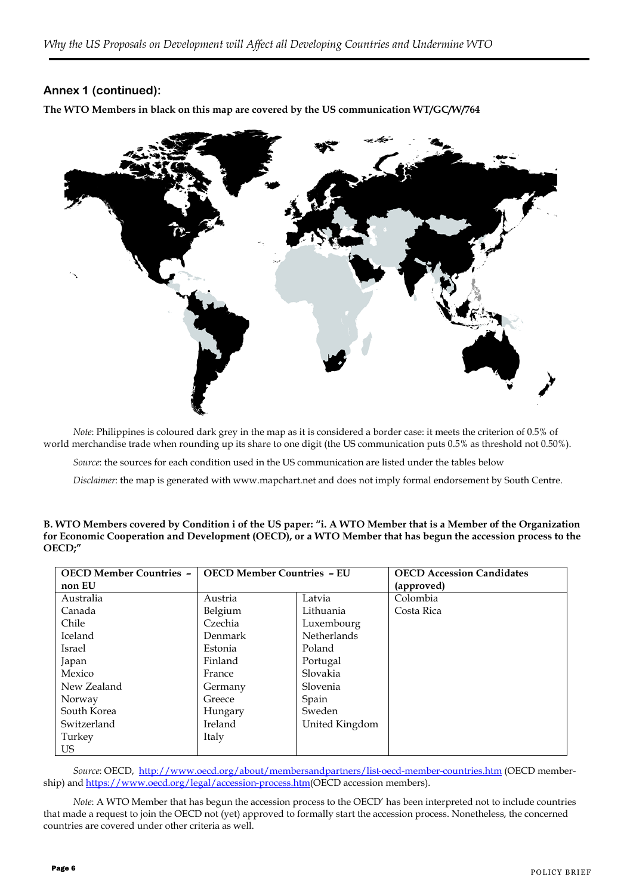# **Annex 1 (continued):**

**The WTO Members in black on this map are covered by the US communication WT/GC/W/764**



*Note*: Philippines is coloured dark grey in the map as it is considered a border case: it meets the criterion of 0.5% of world merchandise trade when rounding up its share to one digit (the US communication puts 0.5% as threshold not 0.50%).

*Source*: the sources for each condition used in the US communication are listed under the tables below

*Disclaimer*: the map is generated with www.mapchart.net and does not imply formal endorsement by South Centre.

#### **B. WTO Members covered by Condition i of the US paper: "i. A WTO Member that is a Member of the Organization for Economic Cooperation and Development (OECD), or a WTO Member that has begun the accession process to the OECD;"**

| <b>OECD Member Countries -</b> | <b>OECD Member Countries - EU</b> |                | <b>OECD Accession Candidates</b> |
|--------------------------------|-----------------------------------|----------------|----------------------------------|
| non EU                         |                                   |                | (approved)                       |
| Australia                      | Austria                           | Latvia         | Colombia                         |
| Canada                         | Belgium                           | Lithuania      | Costa Rica                       |
| Chile                          | Czechia                           | Luxembourg     |                                  |
| Iceland                        | Denmark                           | Netherlands    |                                  |
| Israel                         | Estonia                           | Poland         |                                  |
| Japan                          | Finland                           | Portugal       |                                  |
| Mexico                         | France                            | Slovakia       |                                  |
| New Zealand                    | Germany                           | Slovenia       |                                  |
| Norway                         | Greece                            | Spain          |                                  |
| South Korea                    | Hungary                           | Sweden         |                                  |
| Switzerland                    | Ireland                           | United Kingdom |                                  |
| Turkey                         | Italy                             |                |                                  |
| US.                            |                                   |                |                                  |

*Source*: OECD, <http://www.oecd.org/about/membersandpartners/list-oecd-member-countries.htm> (OECD membership) and [https://www.oecd.org/legal/accession-process.htm\(O](https://www.oecd.org/legal/accession-process.htm)ECD accession members).

*Note*: A WTO Member that has begun the accession process to the OECD' has been interpreted not to include countries that made a request to join the OECD not (yet) approved to formally start the accession process. Nonetheless, the concerned countries are covered under other criteria as well.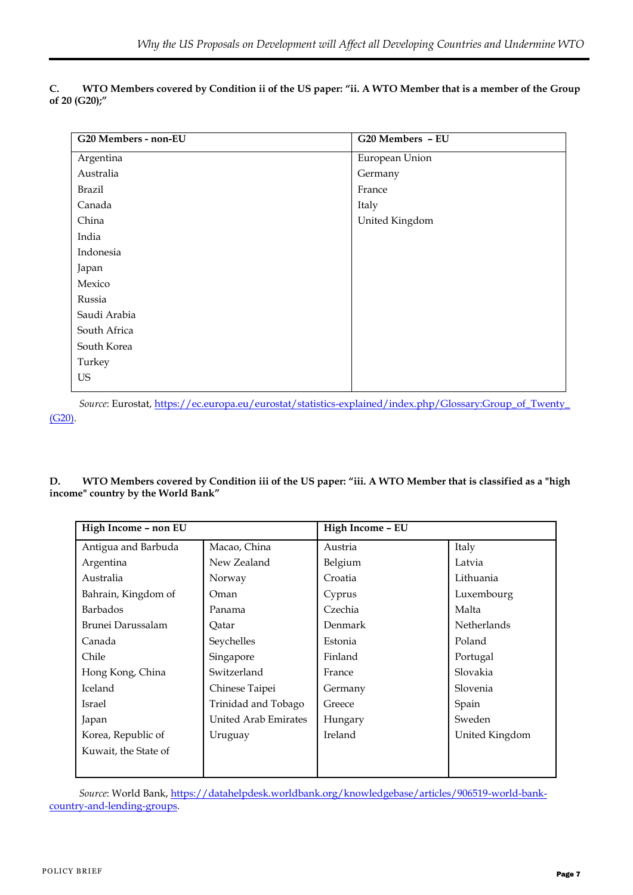|               | WTO Members covered by Condition ii of the US paper: "ii. A WTO Member that is a member of the Group |
|---------------|------------------------------------------------------------------------------------------------------|
| of 20 (G20);" |                                                                                                      |

| G20 Members - non-EU | G20 Members - EU |
|----------------------|------------------|
| Argentina            | European Union   |
| Australia            | Germany          |
| <b>Brazil</b>        | France           |
| Canada               | Italy            |
| China                | United Kingdom   |
| India                |                  |
| Indonesia            |                  |
| Japan                |                  |
| Mexico               |                  |
| Russia               |                  |
| Saudi Arabia         |                  |
| South Africa         |                  |
| South Korea          |                  |
| Turkey               |                  |
| US                   |                  |
|                      |                  |

*Source*: Eurostat, [https://ec.europa.eu/eurostat/statistics-explained/index.php/Glossary:Group\\_of\\_Twenty\\_](https://ec.europa.eu/eurostat/statistics-explained/index.php/Glossary:Group_of_Twenty_(G20)) [\(G20\).](https://ec.europa.eu/eurostat/statistics-explained/index.php/Glossary:Group_of_Twenty_(G20))

**D. WTO Members covered by Condition iii of the US paper: "iii. A WTO Member that is classified as a "high income" country by the World Bank"**

| High Income - non EU |                      | High Income - EU |                    |
|----------------------|----------------------|------------------|--------------------|
| Antigua and Barbuda  | Macao, China         | Austria          | Italy              |
| Argentina            | New Zealand          | Belgium          | Latvia             |
| Australia            | Norway               | Croatia          | Lithuania          |
| Bahrain, Kingdom of  | Oman                 | Cyprus           | Luxembourg         |
| Barbados             | Panama               | Czechia          | Malta              |
| Brunei Darussalam    | Qatar                | Denmark          | <b>Netherlands</b> |
| Canada               | Seychelles           | Estonia          | Poland             |
| Chile                | Singapore            | Finland          | Portugal           |
| Hong Kong, China     | Switzerland          | France           | Slovakia           |
| Iceland              | Chinese Taipei       | Germany          | Slovenia           |
| Israel               | Trinidad and Tobago  | Greece           | Spain              |
| Japan                | United Arab Emirates | Hungary          | Sweden             |
| Korea, Republic of   | Uruguay              | Ireland          | United Kingdom     |
| Kuwait, the State of |                      |                  |                    |
|                      |                      |                  |                    |

*Source*: World Bank, [https://datahelpdesk.worldbank.org/knowledgebase/articles/906519-world-bank](https://datahelpdesk.worldbank.org/knowledgebase/articles/906519-world-bank-country-and-lending-groups)[country-and-lending-groups.](https://datahelpdesk.worldbank.org/knowledgebase/articles/906519-world-bank-country-and-lending-groups)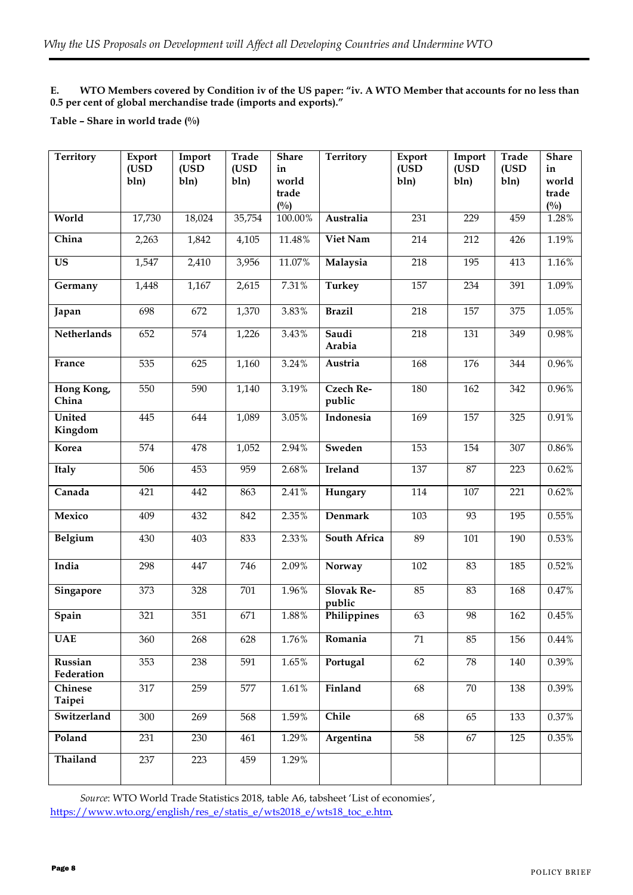## **E. WTO Members covered by Condition iv of the US paper: "iv. A WTO Member that accounts for no less than 0.5 per cent of global merchandise trade (imports and exports)."**

## **Table – Share in world trade (%)**

| <b>Territory</b>         | Export<br>(USD<br>bln) | Import<br>(USD<br>bln) | Trade<br>(USD<br>bln) | <b>Share</b><br>in<br>world<br>trade<br>$(^{0}/_{0})$ | <b>Territory</b>            | Export<br>(USD<br>bln) | Import<br>(USD<br>bln) | Trade<br>(USD<br>bln) | <b>Share</b><br>in<br>world<br>trade<br>$(^{0}/_{0})$ |
|--------------------------|------------------------|------------------------|-----------------------|-------------------------------------------------------|-----------------------------|------------------------|------------------------|-----------------------|-------------------------------------------------------|
| World                    | 17,730                 | 18,024                 | 35,754                | 100.00%                                               | Australia                   | 231                    | 229                    | 459                   | 1.28%                                                 |
| China                    | 2,263                  | 1,842                  | 4,105                 | 11.48%                                                | Viet Nam                    | 214                    | 212                    | 426                   | 1.19%                                                 |
| <b>US</b>                | 1,547                  | 2,410                  | 3,956                 | 11.07%                                                | Malaysia                    | 218                    | 195                    | 413                   | 1.16%                                                 |
| Germany                  | 1,448                  | 1,167                  | 2,615                 | 7.31%                                                 | <b>Turkey</b>               | 157                    | 234                    | 391                   | 1.09%                                                 |
| Japan                    | 698                    | 672                    | 1,370                 | 3.83%                                                 | <b>Brazil</b>               | 218                    | 157                    | 375                   | 1.05%                                                 |
| Netherlands              | 652                    | 574                    | 1,226                 | 3.43%                                                 | Saudi<br>Arabia             | 218                    | 131                    | 349                   | 0.98%                                                 |
| France                   | 535                    | 625                    | 1,160                 | 3.24%                                                 | Austria                     | 168                    | 176                    | 344                   | 0.96%                                                 |
| Hong Kong,<br>China      | 550                    | 590                    | 1,140                 | 3.19%                                                 | <b>Czech Re-</b><br>public  | 180                    | 162                    | 342                   | 0.96%                                                 |
| <b>United</b><br>Kingdom | 445                    | 644                    | 1,089                 | 3.05%                                                 | Indonesia                   | 169                    | 157                    | 325                   | 0.91%                                                 |
| Korea                    | 574                    | 478                    | 1,052                 | 2.94%                                                 | Sweden                      | 153                    | 154                    | 307                   | $0.86\%$                                              |
| Italy                    | 506                    | 453                    | 959                   | 2.68%                                                 | Ireland                     | 137                    | 87                     | 223                   | 0.62%                                                 |
| Canada                   | 421                    | 442                    | 863                   | 2.41%                                                 | Hungary                     | 114                    | 107                    | 221                   | 0.62%                                                 |
| Mexico                   | 409                    | 432                    | 842                   | 2.35%                                                 | Denmark                     | 103                    | 93                     | 195                   | 0.55%                                                 |
| Belgium                  | 430                    | 403                    | 833                   | 2.33%                                                 | South Africa                | 89                     | 101                    | 190                   | 0.53%                                                 |
| India                    | 298                    | 447                    | 746                   | 2.09%                                                 | Norway                      | 102                    | 83                     | 185                   | 0.52%                                                 |
| Singapore                | 373                    | 328                    | 701                   | 1.96%                                                 | <b>Slovak Re-</b><br>public | 85                     | 83                     | 168                   | 0.47%                                                 |
| Spain                    | 321                    | 351                    | 671                   | 1.88%                                                 | Philippines                 | 63                     | 98                     | 162                   | 0.45%                                                 |
| <b>UAE</b>               | 360                    | 268                    | 628                   | 1.76%                                                 | Romania                     | $71\,$                 | 85                     | 156                   | $0.44\%$                                              |
| Russian<br>Federation    | 353                    | 238                    | 591                   | 1.65%                                                 | Portugal                    | 62                     | 78                     | 140                   | 0.39%                                                 |
| Chinese<br>Taipei        | 317                    | 259                    | 577                   | $1.61\%$                                              | Finland                     | 68                     | 70                     | 138                   | 0.39%                                                 |
| Switzerland              | 300                    | 269                    | 568                   | 1.59%                                                 | Chile                       | 68                     | 65                     | 133                   | 0.37%                                                 |
| Poland                   | 231                    | 230                    | 461                   | 1.29%                                                 | Argentina                   | 58                     | 67                     | 125                   | 0.35%                                                 |
| Thailand                 | 237                    | 223                    | 459                   | 1.29%                                                 |                             |                        |                        |                       |                                                       |

*Source*: WTO World Trade Statistics 2018, table A6, tabsheet 'List of economies', [https://www.wto.org/english/res\\_e/statis\\_e/wts2018\\_e/wts18\\_toc\\_e.htm.](https://www.wto.org/english/res_e/statis_e/wts2018_e/wts18_toc_e.htm)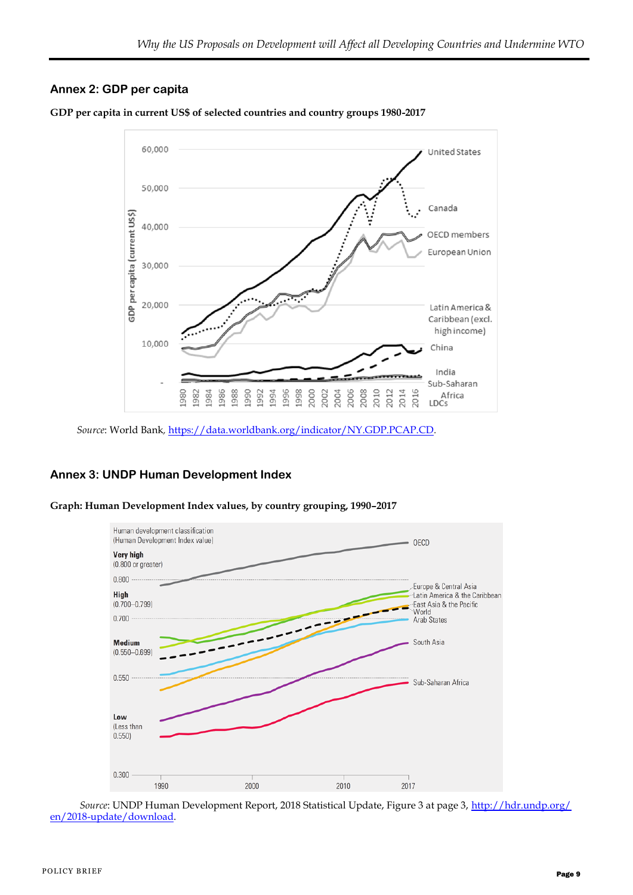# **Annex 2: GDP per capita**



**GDP per capita in current US\$ of selected countries and country groups 1980-2017**

# **Annex 3: UNDP Human Development Index**



**Graph: Human Development Index values, by country grouping, 1990–2017**

*Source*: UNDP Human Development Report, 2018 Statistical Update, Figure 3 at page 3, [http://hdr.undp.org/](http://hdr.undp.org/en/2018-update/download) [en/2018-update/download.](http://hdr.undp.org/en/2018-update/download)

*Source*: World Bank*,* <https://data.worldbank.org/indicator/NY.GDP.PCAP.CD>*.*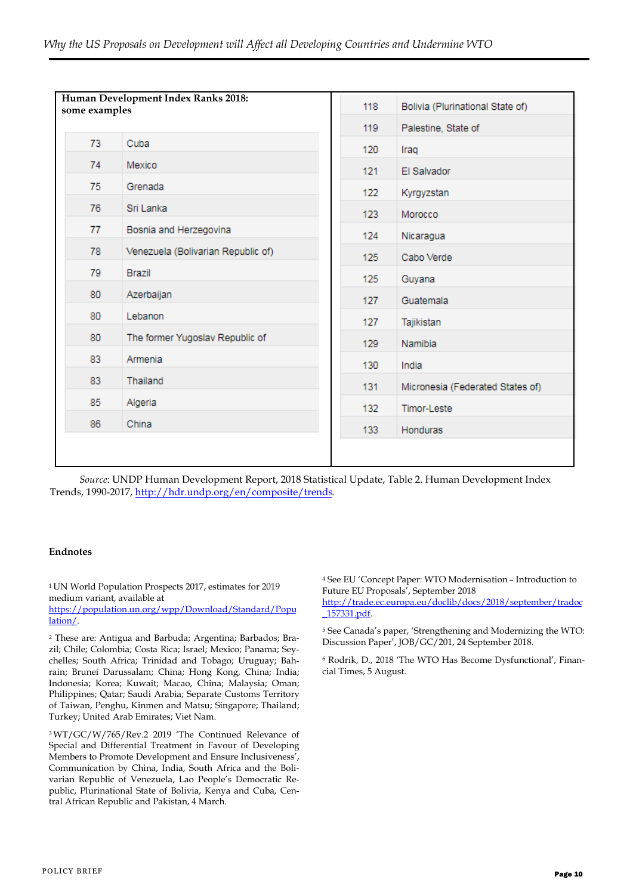| Human Development Index Ranks 2018:<br>some examples |                                    | 118 | Bolivia (Plurinational State of) |
|------------------------------------------------------|------------------------------------|-----|----------------------------------|
|                                                      |                                    | 119 | Palestine, State of              |
| 73                                                   | Cuba                               | 120 | Iraq                             |
| 74                                                   | Mexico                             | 121 | El Salvador                      |
| 75                                                   | Grenada                            | 122 | Kyrgyzstan                       |
| 76                                                   | Sri Lanka                          | 123 | Morocco                          |
| 77                                                   | Bosnia and Herzegovina             | 124 | Nicaragua                        |
| 78                                                   | Venezuela (Bolivarian Republic of) | 125 | Cabo Verde                       |
| 79                                                   | Brazil                             | 125 | Guyana                           |
| 80                                                   | Azerbaijan                         | 127 | Guatemala                        |
| 80                                                   | Lebanon                            | 127 | Tajikistan                       |
| 80                                                   | The former Yugoslav Republic of    | 129 | Namibia                          |
| 83                                                   | Armenia                            |     |                                  |
| 83                                                   | Thailand                           | 130 | India                            |
| 85                                                   | Algeria                            | 131 | Micronesia (Federated States of) |
|                                                      | China                              | 132 | <b>Timor-Leste</b>               |
| 86                                                   |                                    | 133 | Honduras                         |
|                                                      |                                    |     |                                  |

*Source*: UNDP Human Development Report, 2018 Statistical Update, Table 2. Human Development Index Trends, 1990-2017, [http://hdr.undp.org/en/composite/trends.](http://hdr.undp.org/en/composite/trends)

#### **Endnotes**

<sup>1</sup>UN World Population Prospects 2017, estimates for 2019 medium variant, available at

[https://population.un.org/wpp/Download/Standard/Popu](https://population.un.org/wpp/Download/Standard/Population/) [lation/.](https://population.un.org/wpp/Download/Standard/Population/)

<sup>2</sup> These are: Antigua and Barbuda; Argentina; Barbados; Brazil; Chile; Colombia; Costa Rica; Israel; Mexico; Panama; Seychelles; South Africa; Trinidad and Tobago; Uruguay; Bahrain; Brunei Darussalam; China; Hong Kong, China; India; Indonesia; Korea; Kuwait; Macao, China; Malaysia; Oman; Philippines; Qatar; Saudi Arabia; Separate Customs Territory of Taiwan, Penghu, Kinmen and Matsu; Singapore; Thailand; Turkey; United Arab Emirates; Viet Nam.

<sup>3</sup>WT/GC/W/765/Rev.2 2019 'The Continued Relevance of Special and Differential Treatment in Favour of Developing Members to Promote Development and Ensure Inclusiveness', Communication by China, India, South Africa and the Bolivarian Republic of Venezuela, Lao People's Democratic Republic, Plurinational State of Bolivia, Kenya and Cuba, Central African Republic and Pakistan, 4 March.

<sup>4</sup> See EU 'Concept Paper: WTO Modernisation – Introduction to Future EU Proposals', September 2018

[http://trade.ec.europa.eu/doclib/docs/2018/september/tradoc](http://trade.ec.europa.eu/doclib/docs/2018/september/tradoc_157331.pdf) [\\_157331.pdf.](http://trade.ec.europa.eu/doclib/docs/2018/september/tradoc_157331.pdf)

<sup>5</sup> See Canada's paper, 'Strengthening and Modernizing the WTO: Discussion Paper', JOB/GC/201, 24 September 2018.

<sup>6</sup> Rodrik, D., 2018 'The WTO Has Become Dysfunctional', Financial Times, 5 August.